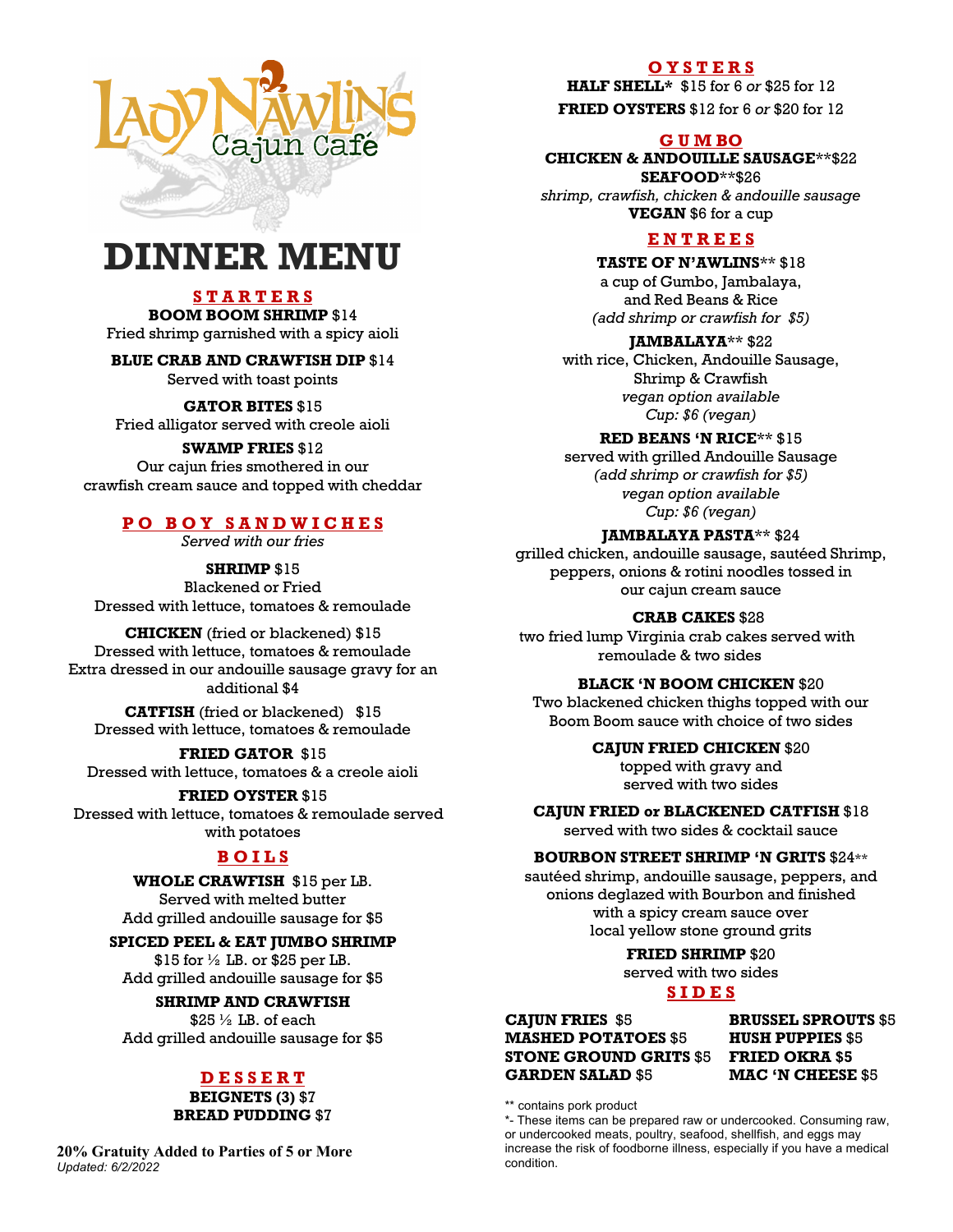

# **DINNER MENU**

## **S T A R T E R S**

**BOOM BOOM SHRIMP** \$14 Fried shrimp garnished with a spicy aioli

**BLUE CRAB AND CRAWFISH DIP** \$14

Served with toast points

#### **GATOR BITES** \$15

Fried alligator served with creole aioli

# **SWAMP FRIES** \$12

Our cajun fries smothered in our crawfish cream sauce and topped with cheddar

# **P O B O Y S A N D W I C H E S**

*Served with our fries*

**SHRIMP** \$15

Blackened or Fried Dressed with lettuce, tomatoes & remoulade

**CHICKEN** (fried or blackened) \$15 Dressed with lettuce, tomatoes & remoulade Extra dressed in our andouille sausage gravy for an additional \$4

**CATFISH** (fried or blackened) \$15 Dressed with lettuce, tomatoes & remoulade

**FRIED GATOR** \$15 Dressed with lettuce, tomatoes & a creole aioli

**FRIED OYSTER** \$15 Dressed with lettuce, tomatoes & remoulade served with potatoes

# **B O I L S**

**WHOLE CRAWFISH** \$15 per LB. Served with melted butter

Add grilled andouille sausage for \$5

## **SPICED PEEL & EAT JUMBO SHRIMP**

 $$15$  for  $\frac{1}{2}$  LB. or \$25 per LB. Add grilled andouille sausage for \$5

#### **SHRIMP AND CRAWFISH**

 $$25\frac{1}{2}$  LB. of each Add grilled andouille sausage for \$5

# **D E S S E R T**

#### **BEIGNETS (3)** \$7 **BREAD PUDDING** \$7

**20% Gratuity Added to Parties of 5 or More** *Updated: 6/2/2022*

#### **O Y S T E R S**

**HALF SHELL\*** \$15 for 6 *or* \$25 for 12

**FRIED OYSTERS** \$12 for 6 *or* \$20 for 12

#### **G U M BO**

**CHICKEN & ANDOUILLE SAUSAGE**\*\*\$22 **SEAFOOD**\*\*\$26 *shrimp, crawfish, chicken & andouille sausage*

**VEGAN** \$6 for a cup

# **E N T R E E S**

**TASTE OF N'AWLINS**\*\* \$18

a cup of Gumbo, Jambalaya, and Red Beans & Rice *(add shrimp or crawfish for \$5)*

#### **JAMBALAYA**\*\* \$22

with rice, Chicken, Andouille Sausage, Shrimp & Crawfish *vegan option available Cup: \$6 (vegan)*

**RED BEANS 'N RICE**\*\* \$15

served with grilled Andouille Sausage *(add shrimp or crawfish for \$5) vegan option available Cup: \$6 (vegan)*

#### **JAMBALAYA PASTA**\*\* \$24

grilled chicken, andouille sausage, sautéed Shrimp, peppers, onions & rotini noodles tossed in our cajun cream sauce

**CRAB CAKES** \$28

two fried lump Virginia crab cakes served with remoulade & two sides

#### **BLACK 'N BOOM CHICKEN** \$20

Two blackened chicken thighs topped with our Boom Boom sauce with choice of two sides

#### **CAJUN FRIED CHICKEN** \$20

topped with gravy and served with two sides

**CAJUN FRIED or BLACKENED CATFISH** \$18

served with two sides & cocktail sauce

#### **BOURBON STREET SHRIMP 'N GRITS** \$24\*\*

sautéed shrimp, andouille sausage, peppers, and onions deglazed with Bourbon and finished with a spicy cream sauce over local yellow stone ground grits

#### **FRIED SHRIMP** \$20

served with two sides

# **S I D E S**

**CAJUN FRIES** \$5 **BRUSSEL SPROUTS** \$5 **MASHED POTATOES** \$5 **HUSH PUPPIES** \$5 **STONE GROUND GRITS** \$5 **FRIED OKRA \$5 GARDEN SALAD** \$5 **MAC 'N CHEESE** \$5

\*\* contains pork product

\*- These items can be prepared raw or undercooked. Consuming raw, or undercooked meats, poultry, seafood, shellfish, and eggs may increase the risk of foodborne illness, especially if you have a medical condition.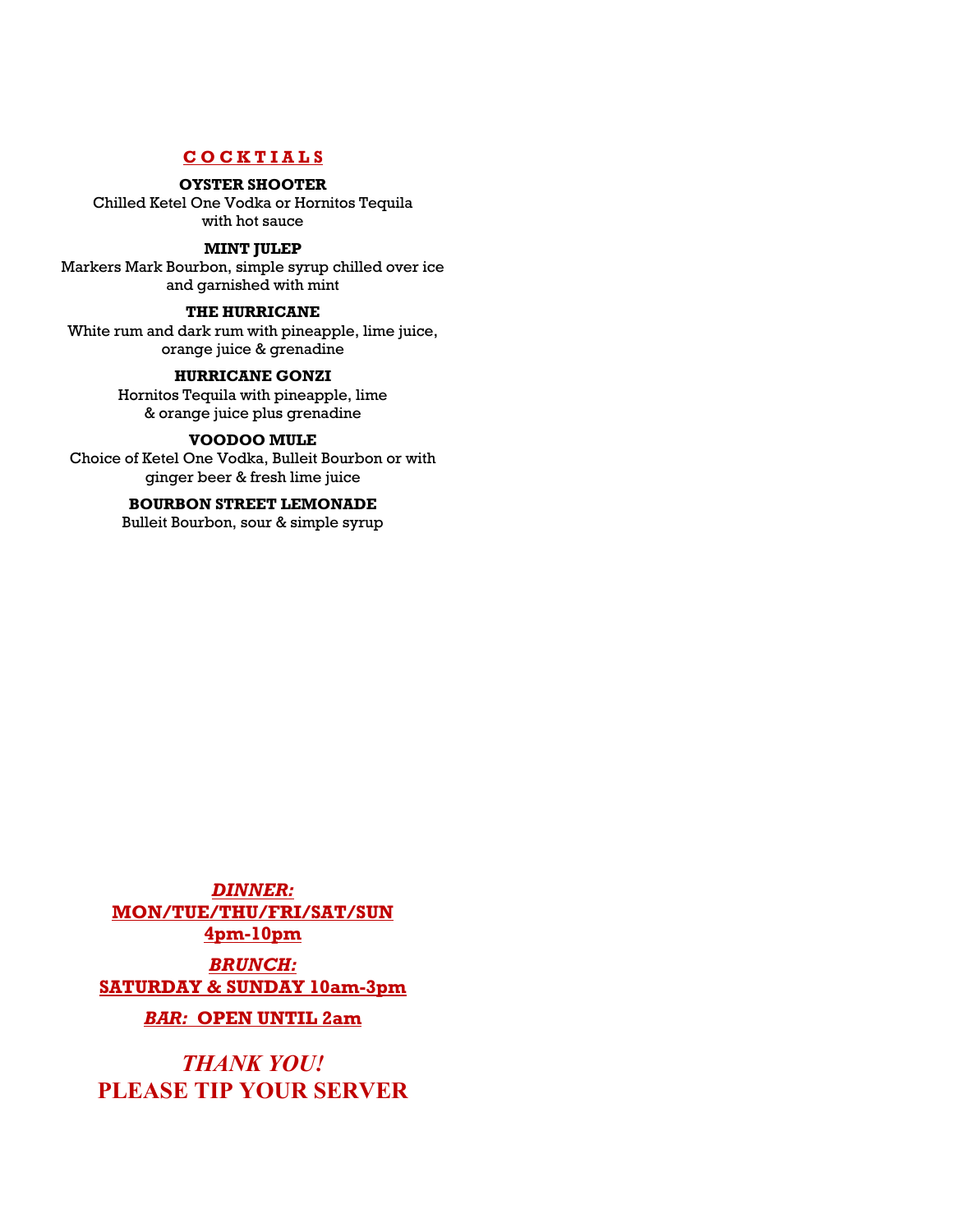#### **C O C K T I A L S**

#### **OYSTER SHOOTER**

Chilled Ketel One Vodka or Hornitos Tequila with hot sauce

#### **MINT JULEP**

Markers Mark Bourbon, simple syrup chilled over ice and garnished with mint

#### **THE HURRICANE**

White rum and dark rum with pineapple, lime juice, orange juice & grenadine

#### **HURRICANE GONZI**

Hornitos Tequila with pineapple, lime & orange juice plus grenadine

#### **VOODOO MULE**

Choice of Ketel One Vodka, Bulleit Bourbon or with ginger beer & fresh lime juice

#### **BOURBON STREET LEMONADE**

Bulleit Bourbon, sour & simple syrup

*DINNER:* **MON/TUE/THU/FRI/SAT/SUN 4pm-10pm** *BRUNCH:* **SATURDAY & SUNDAY 10am-3pm** *BAR:* **OPEN UNTIL 2am**

*THANK YOU!* **PLEASE TIP YOUR SERVER**